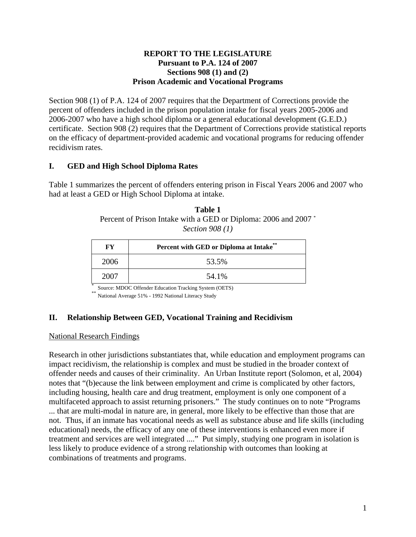### **REPORT TO THE LEGISLATURE Pursuant to P.A. 124 of 2007 Sections 908 (1) and (2) Prison Academic and Vocational Programs**

Section 908 (1) of P.A. 124 of 2007 requires that the Department of Corrections provide the percent of offenders included in the prison population intake for fiscal years 2005-2006 and 2006-2007 who have a high school diploma or a general educational development (G.E.D.) certificate. Section 908 (2) requires that the Department of Corrections provide statistical reports on the efficacy of department-provided academic and vocational programs for reducing offender recidivism rates.

# **I. GED and High School Diploma Rates**

Table 1 summarizes the percent of offenders entering prison in Fiscal Years 2006 and 2007 who had at least a GED or High School Diploma at intake.

| Table 1                                                         |
|-----------------------------------------------------------------|
| Percent of Prison Intake with a GED or Diploma: 2006 and 2007 * |
| Section $908(1)$                                                |

| FY   | Percent with GED or Diploma at Intake®                 |
|------|--------------------------------------------------------|
| 2006 | 53.5%                                                  |
| 2007 | 54.1%                                                  |
|      | Source: MDOC Offender Education Tracking System (OETS) |

National Average 51% - 1992 National Literacy Study

# **II. Relationship Between GED, Vocational Training and Recidivism**

#### National Research Findings

Research in other jurisdictions substantiates that, while education and employment programs can impact recidivism, the relationship is complex and must be studied in the broader context of offender needs and causes of their criminality. An Urban Institute report (Solomon, et al, 2004) notes that "(b)ecause the link between employment and crime is complicated by other factors, including housing, health care and drug treatment, employment is only one component of a multifaceted approach to assist returning prisoners." The study continues on to note "Programs ... that are multi-modal in nature are, in general, more likely to be effective than those that are not. Thus, if an inmate has vocational needs as well as substance abuse and life skills (including educational) needs, the efficacy of any one of these interventions is enhanced even more if treatment and services are well integrated ...." Put simply, studying one program in isolation is less likely to produce evidence of a strong relationship with outcomes than looking at combinations of treatments and programs.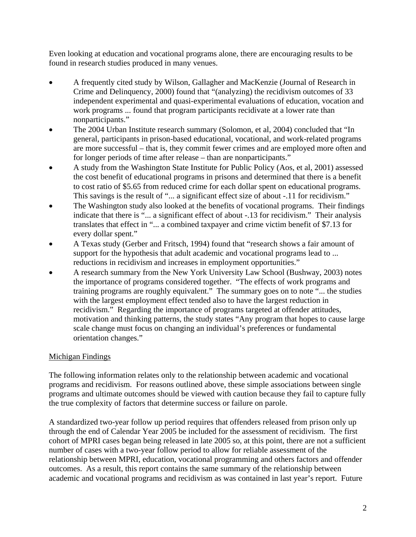Even looking at education and vocational programs alone, there are encouraging results to be found in research studies produced in many venues.

- A frequently cited study by Wilson, Gallagher and MacKenzie (Journal of Research in Crime and Delinquency, 2000) found that "(analyzing) the recidivism outcomes of 33 independent experimental and quasi-experimental evaluations of education, vocation and work programs ... found that program participants recidivate at a lower rate than nonparticipants."
- The 2004 Urban Institute research summary (Solomon, et al, 2004) concluded that "In general, participants in prison-based educational, vocational, and work-related programs are more successful – that is, they commit fewer crimes and are employed more often and for longer periods of time after release – than are nonparticipants."
- A study from the Washington State Institute for Public Policy (Aos, et al, 2001) assessed the cost benefit of educational programs in prisons and determined that there is a benefit to cost ratio of \$5.65 from reduced crime for each dollar spent on educational programs. This savings is the result of "... a significant effect size of about -.11 for recidivism."
- The Washington study also looked at the benefits of vocational programs. Their findings indicate that there is "... a significant effect of about -.13 for recidivism." Their analysis translates that effect in "... a combined taxpayer and crime victim benefit of \$7.13 for every dollar spent."
- A Texas study (Gerber and Fritsch, 1994) found that "research shows a fair amount of support for the hypothesis that adult academic and vocational programs lead to ... reductions in recidivism and increases in employment opportunities."
- A research summary from the New York University Law School (Bushway, 2003) notes the importance of programs considered together. "The effects of work programs and training programs are roughly equivalent." The summary goes on to note "... the studies with the largest employment effect tended also to have the largest reduction in recidivism." Regarding the importance of programs targeted at offender attitudes, motivation and thinking patterns, the study states "Any program that hopes to cause large scale change must focus on changing an individual's preferences or fundamental orientation changes."

# Michigan Findings

The following information relates only to the relationship between academic and vocational programs and recidivism. For reasons outlined above, these simple associations between single programs and ultimate outcomes should be viewed with caution because they fail to capture fully the true complexity of factors that determine success or failure on parole.

A standardized two-year follow up period requires that offenders released from prison only up through the end of Calendar Year 2005 be included for the assessment of recidivism. The first cohort of MPRI cases began being released in late 2005 so, at this point, there are not a sufficient number of cases with a two-year follow period to allow for reliable assessment of the relationship between MPRI, education, vocational programming and others factors and offender outcomes. As a result, this report contains the same summary of the relationship between academic and vocational programs and recidivism as was contained in last year's report. Future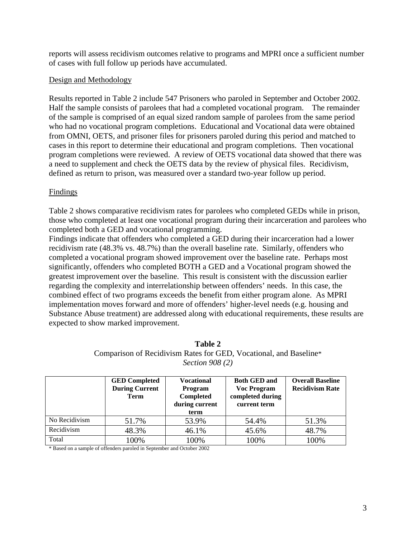reports will assess recidivism outcomes relative to programs and MPRI once a sufficient number of cases with full follow up periods have accumulated.

## Design and Methodology

Results reported in Table 2 include 547 Prisoners who paroled in September and October 2002. Half the sample consists of parolees that had a completed vocational program. The remainder of the sample is comprised of an equal sized random sample of parolees from the same period who had no vocational program completions. Educational and Vocational data were obtained from OMNI, OETS, and prisoner files for prisoners paroled during this period and matched to cases in this report to determine their educational and program completions. Then vocational program completions were reviewed. A review of OETS vocational data showed that there was a need to supplement and check the OETS data by the review of physical files. Recidivism, defined as return to prison, was measured over a standard two-year follow up period.

## Findings

Table 2 shows comparative recidivism rates for parolees who completed GEDs while in prison, those who completed at least one vocational program during their incarceration and parolees who completed both a GED and vocational programming.

Findings indicate that offenders who completed a GED during their incarceration had a lower recidivism rate (48.3% vs. 48.7%) than the overall baseline rate. Similarly, offenders who completed a vocational program showed improvement over the baseline rate. Perhaps most significantly, offenders who completed BOTH a GED and a Vocational program showed the greatest improvement over the baseline. This result is consistent with the discussion earlier regarding the complexity and interrelationship between offenders' needs. In this case, the combined effect of two programs exceeds the benefit from either program alone. As MPRI implementation moves forward and more of offenders' higher-level needs (e.g. housing and Substance Abuse treatment) are addressed along with educational requirements, these results are expected to show marked improvement.

|               | <b>GED Completed</b>                 | <b>Vocational</b>           | <b>Both GED and</b>                    | <b>Overall Baseline</b><br><b>Recidivism Rate</b> |
|---------------|--------------------------------------|-----------------------------|----------------------------------------|---------------------------------------------------|
|               | <b>During Current</b><br><b>Term</b> | <b>Program</b><br>Completed | <b>Voc Program</b><br>completed during |                                                   |
|               |                                      | during current              | current term                           |                                                   |
|               |                                      | term                        |                                        |                                                   |
| No Recidivism | 51.7%                                | 53.9%                       | 54.4%                                  | 51.3%                                             |
| Recidivism    | 48.3%                                | 46.1%                       | 45.6%                                  | 48.7%                                             |
| Total         | 100%                                 | 100%                        | 100%                                   | 100%                                              |

| Table 2                                                           |  |
|-------------------------------------------------------------------|--|
| Comparison of Recidivism Rates for GED, Vocational, and Baseline* |  |
| <i>Section 908 (2)</i>                                            |  |

\* Based on a sample of offenders paroled in September and October 2002